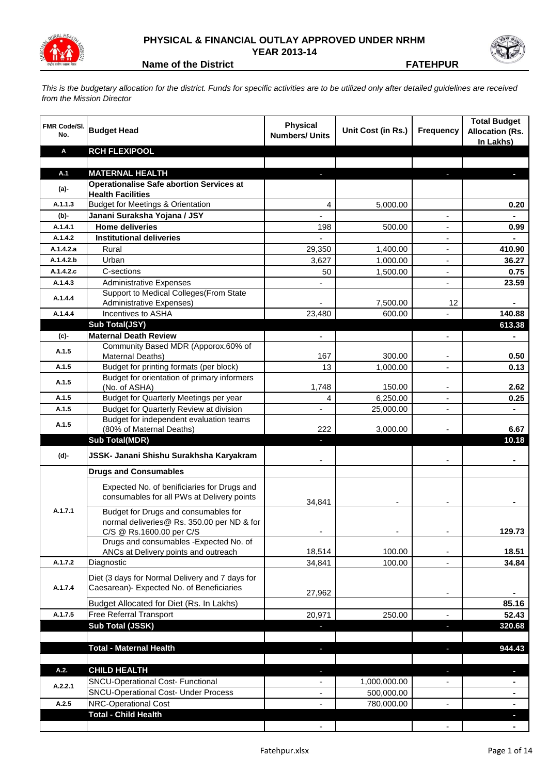

## **PHYSICAL & FINANCIAL OUTLAY APPROVED UNDER NRHM YEAR 2013-14**



**Name of the District FATEHPUR**

*This is the budgetary allocation for the district. Funds for specific activities are to be utilized only after detailed guidelines are received from the Mission Director*

| <b>FMR Code/SI.</b><br>No. | <b>Budget Head</b>                                                                        | <b>Physical</b><br><b>Numbers/ Units</b> | Unit Cost (in Rs.) | <b>Frequency</b>         | <b>Total Budget</b><br><b>Allocation (Rs.</b><br>In Lakhs) |
|----------------------------|-------------------------------------------------------------------------------------------|------------------------------------------|--------------------|--------------------------|------------------------------------------------------------|
| A                          | <b>RCH FLEXIPOOL</b>                                                                      |                                          |                    |                          |                                                            |
|                            |                                                                                           |                                          |                    |                          |                                                            |
| A.1                        | <b>MATERNAL HEALTH</b>                                                                    |                                          |                    |                          |                                                            |
| $(a)$ -                    | <b>Operationalise Safe abortion Services at</b><br><b>Health Facilities</b>               |                                          |                    |                          |                                                            |
| A.1.1.3                    | <b>Budget for Meetings &amp; Orientation</b>                                              | 4                                        | 5,000.00           |                          | 0.20                                                       |
| (b)-                       | Janani Suraksha Yojana / JSY                                                              |                                          |                    |                          | $\blacksquare$                                             |
| A.1.4.1                    | <b>Home deliveries</b>                                                                    | 198                                      | 500.00             |                          | 0.99                                                       |
| A.1.4.2                    | <b>Institutional deliveries</b>                                                           |                                          |                    |                          |                                                            |
| A.1.4.2.a                  | Rural                                                                                     | 29,350                                   | 1,400.00           |                          | 410.90                                                     |
| A.1.4.2.b                  | Urban                                                                                     | 3,627                                    | 1,000.00           | $\overline{\phantom{a}}$ | 36.27                                                      |
| A.1.4.2.c                  | C-sections                                                                                | 50                                       | 1,500.00           | $\overline{\phantom{a}}$ | 0.75                                                       |
| A.1.4.3                    | <b>Administrative Expenses</b>                                                            |                                          |                    |                          | 23.59                                                      |
| A.1.4.4                    | Support to Medical Colleges (From State                                                   |                                          |                    |                          |                                                            |
|                            | <b>Administrative Expenses)</b>                                                           |                                          | 7,500.00           | 12                       |                                                            |
| A.1.4.4                    | Incentives to ASHA                                                                        | 23,480                                   | 600.00             |                          | 140.88                                                     |
|                            | Sub Total(JSY)<br><b>Maternal Death Review</b>                                            |                                          |                    |                          | 613.38                                                     |
| (c)-                       | Community Based MDR (Apporox.60% of                                                       | ÷,                                       |                    | $\blacksquare$           | $\blacksquare$                                             |
| A.1.5                      | Maternal Deaths)                                                                          | 167                                      | 300.00             |                          | 0.50                                                       |
| A.1.5                      | Budget for printing formats (per block)                                                   | 13                                       | 1,000.00           |                          | 0.13                                                       |
| A.1.5                      | Budget for orientation of primary informers                                               |                                          |                    |                          |                                                            |
|                            | (No. of ASHA)                                                                             | 1,748                                    | 150.00             |                          | 2.62                                                       |
| A.1.5                      | Budget for Quarterly Meetings per year                                                    | 4                                        | 6,250.00           |                          | 0.25                                                       |
| A.1.5                      | Budget for Quarterly Review at division                                                   | $\overline{a}$                           | 25,000.00          | $\blacksquare$           | $\blacksquare$                                             |
| A.1.5                      | Budget for independent evaluation teams<br>(80% of Maternal Deaths)                       | 222                                      | 3,000.00           |                          | 6.67                                                       |
|                            | <b>Sub Total(MDR)</b>                                                                     | ٠                                        |                    |                          | 10.18                                                      |
|                            |                                                                                           |                                          |                    |                          |                                                            |
| (d)-                       | JSSK- Janani Shishu Surakhsha Karyakram                                                   |                                          |                    |                          |                                                            |
|                            | <b>Drugs and Consumables</b>                                                              |                                          |                    |                          |                                                            |
|                            | Expected No. of benificiaries for Drugs and<br>consumables for all PWs at Delivery points |                                          |                    |                          |                                                            |
| A.1.7.1                    | Budget for Drugs and consumables for                                                      | 34,841                                   |                    |                          |                                                            |
|                            | normal deliveries@ Rs. 350.00 per ND & for                                                |                                          |                    |                          |                                                            |
|                            | C/S @ Rs.1600.00 per C/S                                                                  |                                          |                    |                          | 129.73                                                     |
|                            | Drugs and consumables - Expected No. of                                                   |                                          |                    |                          |                                                            |
|                            | ANCs at Delivery points and outreach                                                      | 18,514                                   | 100.00             |                          | 18.51                                                      |
| A.1.7.2                    | Diagnostic                                                                                | 34,841                                   | 100.00             |                          | 34.84                                                      |
|                            | Diet (3 days for Normal Delivery and 7 days for                                           |                                          |                    |                          |                                                            |
| A.1.7.4                    | Caesarean)- Expected No. of Beneficiaries                                                 | 27,962                                   |                    |                          |                                                            |
|                            | Budget Allocated for Diet (Rs. In Lakhs)                                                  |                                          |                    |                          | 85.16                                                      |
| A.1.7.5                    | Free Referral Transport                                                                   | 20,971                                   | 250.00             |                          | 52.43                                                      |
|                            | Sub Total (JSSK)                                                                          |                                          |                    |                          | 320.68                                                     |
|                            |                                                                                           |                                          |                    |                          |                                                            |
|                            | <b>Total - Maternal Health</b>                                                            |                                          |                    |                          | 944.43                                                     |
|                            |                                                                                           |                                          |                    |                          |                                                            |
| A.2.                       | <b>CHILD HEALTH</b>                                                                       | J,                                       |                    | $\overline{\phantom{a}}$ |                                                            |
| A.2.2.1                    | <b>SNCU-Operational Cost- Functional</b>                                                  | $\overline{\phantom{0}}$                 | 1,000,000.00       |                          |                                                            |
|                            | <b>SNCU-Operational Cost- Under Process</b>                                               | $\overline{\phantom{0}}$                 | 500,000.00         |                          | ۰                                                          |
| A.2.5                      | NRC-Operational Cost                                                                      |                                          | 780,000.00         |                          |                                                            |
|                            | <b>Total - Child Health</b>                                                               |                                          |                    |                          |                                                            |
|                            |                                                                                           |                                          |                    |                          |                                                            |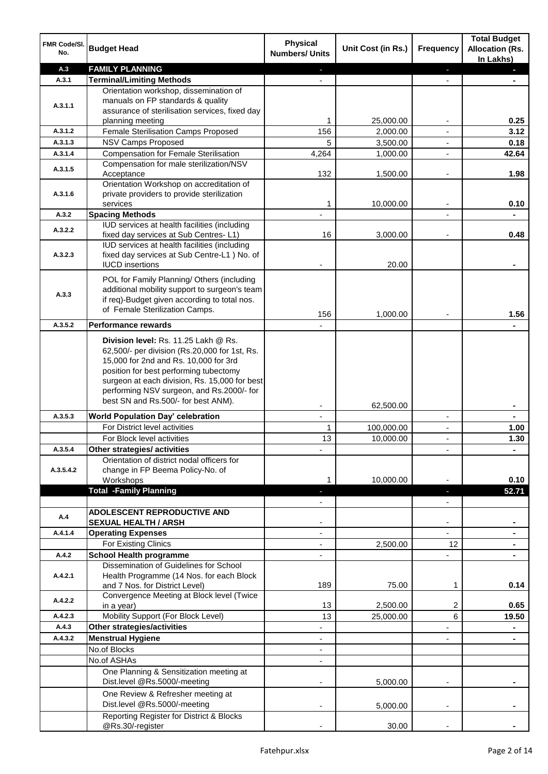| FMR Code/SI.<br>No. | <b>Budget Head</b>                                                                            | <b>Physical</b><br><b>Numbers/ Units</b> | Unit Cost (in Rs.)    | <b>Frequency</b>               | <b>Total Budget</b><br><b>Allocation (Rs.</b><br>In Lakhs) |
|---------------------|-----------------------------------------------------------------------------------------------|------------------------------------------|-----------------------|--------------------------------|------------------------------------------------------------|
| A.3                 | <b>FAMILY PLANNING</b>                                                                        |                                          |                       | ٠                              | o.                                                         |
| A.3.1               | <b>Terminal/Limiting Methods</b>                                                              |                                          |                       | $\overline{a}$                 |                                                            |
|                     | Orientation workshop, dissemination of                                                        |                                          |                       |                                |                                                            |
| A.3.1.1             | manuals on FP standards & quality                                                             |                                          |                       |                                |                                                            |
|                     | assurance of sterilisation services, fixed day<br>planning meeting                            | 1                                        | 25,000.00             |                                | 0.25                                                       |
| A.3.1.2             | Female Sterilisation Camps Proposed                                                           | 156                                      | 2,000.00              |                                | 3.12                                                       |
| A.3.1.3             | NSV Camps Proposed                                                                            | 5                                        | 3,500.00              | $\overline{\phantom{a}}$       | 0.18                                                       |
| A.3.1.4             | <b>Compensation for Female Sterilisation</b>                                                  | 4,264                                    | 1,000.00              | $\blacksquare$                 | 42.64                                                      |
| A.3.1.5             | Compensation for male sterilization/NSV                                                       |                                          |                       |                                |                                                            |
|                     | Acceptance                                                                                    | 132                                      | 1,500.00              | $\overline{\phantom{a}}$       | 1.98                                                       |
|                     | Orientation Workshop on accreditation of<br>private providers to provide sterilization        |                                          |                       |                                |                                                            |
| A.3.1.6             | services                                                                                      | 1                                        | 10,000.00             |                                | 0.10                                                       |
| A.3.2               | <b>Spacing Methods</b>                                                                        |                                          |                       | $\overline{\phantom{a}}$       |                                                            |
| A.3.2.2             | IUD services at health facilities (including                                                  |                                          |                       |                                |                                                            |
|                     | fixed day services at Sub Centres-L1)                                                         | 16                                       | 3,000.00              |                                | 0.48                                                       |
|                     | IUD services at health facilities (including                                                  |                                          |                       |                                |                                                            |
| A.3.2.3             | fixed day services at Sub Centre-L1 ) No. of<br><b>IUCD</b> insertions                        |                                          | 20.00                 |                                |                                                            |
|                     |                                                                                               |                                          |                       |                                |                                                            |
|                     | POL for Family Planning/ Others (including                                                    |                                          |                       |                                |                                                            |
| A.3.3               | additional mobility support to surgeon's team<br>if req)-Budget given according to total nos. |                                          |                       |                                |                                                            |
|                     | of Female Sterilization Camps.                                                                |                                          |                       |                                |                                                            |
| A.3.5.2             | <b>Performance rewards</b>                                                                    | 156                                      | 1,000.00              |                                | 1.56                                                       |
|                     |                                                                                               |                                          |                       |                                |                                                            |
|                     | Division level: Rs. 11.25 Lakh @ Rs.                                                          |                                          |                       |                                |                                                            |
|                     | 62,500/- per division (Rs.20,000 for 1st, Rs.<br>15,000 for 2nd and Rs. 10,000 for 3rd        |                                          |                       |                                |                                                            |
|                     | position for best performing tubectomy                                                        |                                          |                       |                                |                                                            |
|                     | surgeon at each division, Rs. 15,000 for best                                                 |                                          |                       |                                |                                                            |
|                     | performing NSV surgeon, and Rs.2000/- for                                                     |                                          |                       |                                |                                                            |
|                     | best SN and Rs.500/- for best ANM).                                                           |                                          | 62,500.00             |                                |                                                            |
| A.3.5.3             | <b>World Population Day' celebration</b>                                                      | $\blacksquare$                           |                       | $\overline{\phantom{0}}$       |                                                            |
|                     | For District level activities                                                                 | 1                                        | 100,000.00            | $\overline{\phantom{a}}$       | 1.00                                                       |
|                     | For Block level activities                                                                    | 13                                       | 10,000.00             | $\overline{\phantom{a}}$       | 1.30                                                       |
| A.3.5.4             | Other strategies/ activities                                                                  |                                          |                       | ٠                              |                                                            |
| A.3.5.4.2           | Orientation of district nodal officers for<br>change in FP Beema Policy-No. of                |                                          |                       |                                |                                                            |
|                     | Workshops                                                                                     | 1                                        | 10,000.00             |                                | 0.10                                                       |
|                     | <b>Total -Family Planning</b>                                                                 |                                          |                       | H,                             | 52.71                                                      |
|                     |                                                                                               |                                          |                       |                                |                                                            |
| A.4                 | <b>ADOLESCENT REPRODUCTIVE AND</b>                                                            |                                          |                       |                                |                                                            |
|                     | <b>SEXUAL HEALTH / ARSH</b>                                                                   |                                          |                       | $\overline{\phantom{m}}$       |                                                            |
| A.4.1.4             | <b>Operating Expenses</b><br>For Existing Clinics                                             | $\overline{\phantom{0}}$                 | 2,500.00              | $\overline{\phantom{0}}$<br>12 |                                                            |
| A.4.2               | <b>School Health programme</b>                                                                |                                          |                       |                                |                                                            |
|                     | Dissemination of Guidelines for School                                                        |                                          |                       |                                |                                                            |
| A.4.2.1             | Health Programme (14 Nos. for each Block                                                      |                                          |                       |                                |                                                            |
|                     | and 7 Nos. for District Level)                                                                | 189                                      | 75.00                 | 1                              | 0.14                                                       |
| A.4.2.2             | Convergence Meeting at Block level (Twice                                                     |                                          |                       |                                |                                                            |
| A.4.2.3             | in a year)<br>Mobility Support (For Block Level)                                              | 13<br>13                                 | 2,500.00<br>25,000.00 | 2<br>6                         | 0.65<br>19.50                                              |
| A.4.3               | Other strategies/activities                                                                   |                                          |                       |                                |                                                            |
| A.4.3.2             | <b>Menstrual Hygiene</b>                                                                      |                                          |                       |                                |                                                            |
|                     | No.of Blocks                                                                                  |                                          |                       |                                |                                                            |
|                     | No.of ASHAs                                                                                   |                                          |                       |                                |                                                            |
|                     | One Planning & Sensitization meeting at                                                       |                                          |                       |                                |                                                            |
|                     | Dist.level @Rs.5000/-meeting                                                                  |                                          | 5,000.00              |                                |                                                            |
|                     | One Review & Refresher meeting at                                                             |                                          |                       |                                |                                                            |
|                     | Dist.level @Rs.5000/-meeting                                                                  |                                          | 5,000.00              |                                |                                                            |
|                     | Reporting Register for District & Blocks                                                      |                                          |                       |                                |                                                            |
|                     | @Rs.30/-register                                                                              |                                          | 30.00                 |                                |                                                            |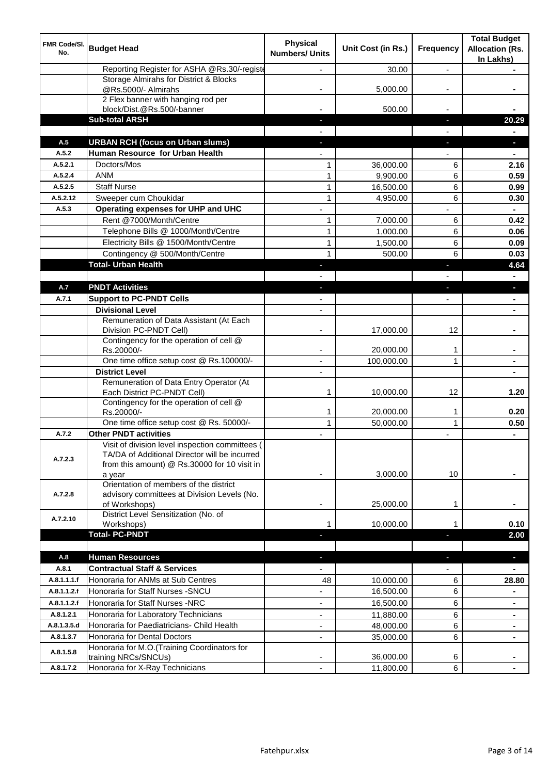| FMR Code/SI.<br>No. | <b>Budget Head</b>                                                                                                                                         | <b>Physical</b><br><b>Numbers/ Units</b> | Unit Cost (in Rs.)     | Frequency      | <b>Total Budget</b><br><b>Allocation (Rs.</b><br>In Lakhs) |
|---------------------|------------------------------------------------------------------------------------------------------------------------------------------------------------|------------------------------------------|------------------------|----------------|------------------------------------------------------------|
|                     | Reporting Register for ASHA @Rs.30/-registe                                                                                                                |                                          | 30.00                  | $\overline{a}$ |                                                            |
|                     | Storage Almirahs for District & Blocks<br>@Rs.5000/- Almirahs                                                                                              |                                          | 5,000.00               |                |                                                            |
|                     | 2 Flex banner with hanging rod per<br>block/Dist.@Rs.500/-banner                                                                                           |                                          | 500.00                 |                |                                                            |
|                     | <b>Sub-total ARSH</b>                                                                                                                                      |                                          |                        | ı.             | 20.29                                                      |
|                     |                                                                                                                                                            |                                          |                        |                |                                                            |
| A.5                 | <b>URBAN RCH (focus on Urban slums)</b>                                                                                                                    |                                          |                        | J,             |                                                            |
| A.5.2               | Human Resource for Urban Health                                                                                                                            |                                          |                        |                |                                                            |
| A.5.2.1             | Doctors/Mos                                                                                                                                                | $\mathbf{1}$                             | 36,000.00              | 6              | 2.16                                                       |
| A.5.2.4             | <b>ANM</b>                                                                                                                                                 | $\mathbf{1}$                             | 9,900.00               | 6              | 0.59                                                       |
| A.5.2.5             | <b>Staff Nurse</b>                                                                                                                                         | $\mathbf{1}$                             | 16,500.00              | 6              | 0.99                                                       |
| A.5.2.12            | Sweeper cum Choukidar                                                                                                                                      | 1                                        | 4,950.00               | 6              | 0.30                                                       |
| A.5.3               | Operating expenses for UHP and UHC                                                                                                                         |                                          |                        |                |                                                            |
|                     | Rent @7000/Month/Centre                                                                                                                                    | 1                                        | 7,000.00               | 6              | 0.42                                                       |
|                     | Telephone Bills @ 1000/Month/Centre                                                                                                                        | $\mathbf{1}$                             | 1,000.00               | 6              | 0.06                                                       |
|                     | Electricity Bills @ 1500/Month/Centre                                                                                                                      | $\mathbf{1}$                             | 1,500.00               | 6              | 0.09                                                       |
|                     | Contingency @ 500/Month/Centre                                                                                                                             | $\mathbf{1}$                             | 500.00                 | 6              | 0.03                                                       |
|                     | <b>Total- Urban Health</b>                                                                                                                                 |                                          |                        | Е              | 4.64                                                       |
|                     |                                                                                                                                                            |                                          |                        |                |                                                            |
| A.7                 | <b>PNDT Activities</b>                                                                                                                                     |                                          |                        |                |                                                            |
| A.7.1               | <b>Support to PC-PNDT Cells</b>                                                                                                                            |                                          |                        |                |                                                            |
|                     | <b>Divisional Level</b>                                                                                                                                    | $\overline{\phantom{a}}$                 |                        |                |                                                            |
|                     | Remuneration of Data Assistant (At Each<br>Division PC-PNDT Cell)                                                                                          |                                          | 17,000.00              | 12             |                                                            |
|                     | Contingency for the operation of cell @<br>Rs.20000/-                                                                                                      |                                          | 20,000.00              | 1              |                                                            |
|                     | One time office setup cost @ Rs.100000/-                                                                                                                   | $\blacksquare$                           | 100,000.00             | 1              |                                                            |
|                     | <b>District Level</b>                                                                                                                                      |                                          |                        |                |                                                            |
|                     | Remuneration of Data Entry Operator (At<br>Each District PC-PNDT Cell)                                                                                     | 1                                        | 10,000.00              | 12             | 1.20                                                       |
|                     | Contingency for the operation of cell @<br>Rs.20000/-                                                                                                      | 1                                        | 20,000.00              | 1              | 0.20                                                       |
|                     | One time office setup cost @ Rs. 50000/-                                                                                                                   | $\mathbf{1}$                             | 50,000.00              | $\mathbf{1}$   | 0.50                                                       |
| A.7.2               | <b>Other PNDT activities</b>                                                                                                                               |                                          |                        |                | $\blacksquare$                                             |
| A.7.2.3             | Visit of division level inspection committees (<br>TA/DA of Additional Director will be incurred<br>from this amount) @ Rs.30000 for 10 visit in<br>a year |                                          | 3,000.00               | 10             |                                                            |
| A.7.2.8             | Orientation of members of the district<br>advisory committees at Division Levels (No.<br>of Workshops)                                                     | ٠                                        | 25,000.00              | 1              |                                                            |
| A.7.2.10            | District Level Sensitization (No. of<br>Workshops)                                                                                                         | 1                                        | 10,000.00              |                | 0.10                                                       |
|                     | <b>Total-PC-PNDT</b>                                                                                                                                       |                                          |                        |                | 2.00                                                       |
| A.8                 | <b>Human Resources</b>                                                                                                                                     |                                          |                        | ٠              | ٠                                                          |
| A.8.1               | <b>Contractual Staff &amp; Services</b>                                                                                                                    |                                          |                        |                |                                                            |
| A.8.1.1.1.f         | Honoraria for ANMs at Sub Centres                                                                                                                          | 48                                       | 10,000.00              | 6              | 28.80                                                      |
| A.8.1.1.2.f         | Honoraria for Staff Nurses - SNCU                                                                                                                          |                                          | 16,500.00              | 6              |                                                            |
| A.8.1.1.2.f         | Honoraria for Staff Nurses -NRC                                                                                                                            | ÷,                                       | 16,500.00              | 6              |                                                            |
| A.8.1.2.1           | Honoraria for Laboratory Technicians                                                                                                                       | ÷,                                       | 11,880.00              | 6              | $\blacksquare$<br>$\blacksquare$                           |
| A.8.1.3.5.d         | Honoraria for Paediatricians- Child Health                                                                                                                 | ÷,                                       | 48,000.00              |                |                                                            |
| A.8.1.3.7           | Honoraria for Dental Doctors                                                                                                                               | ÷,                                       |                        | 6<br>6         |                                                            |
| A.8.1.5.8           | Honoraria for M.O.(Training Coordinators for                                                                                                               |                                          | 35,000.00              |                |                                                            |
| A.8.1.7.2           | training NRCs/SNCUs)<br>Honoraria for X-Ray Technicians                                                                                                    | ÷,                                       | 36,000.00<br>11,800.00 | 6<br>6         |                                                            |
|                     |                                                                                                                                                            |                                          |                        |                |                                                            |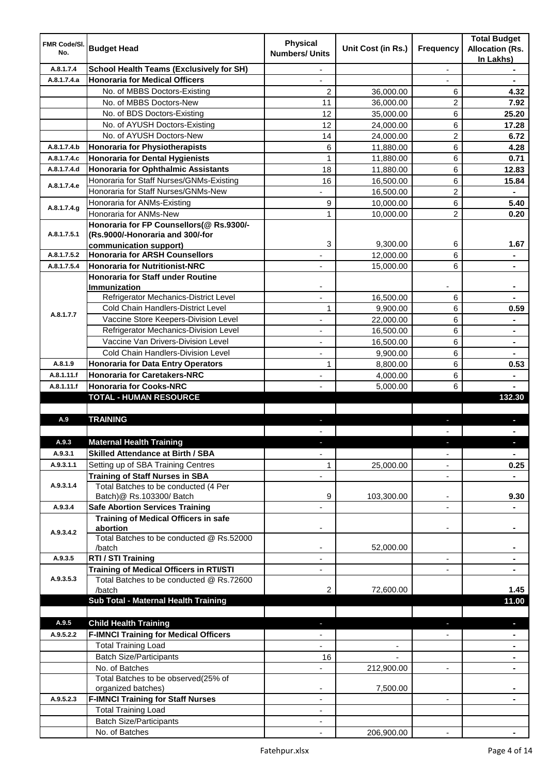| <b>FMR Code/SI.</b><br>No. | <b>Budget Head</b>                                                             | <b>Physical</b><br><b>Numbers/ Units</b> | Unit Cost (in Rs.)       | Frequency                | <b>Total Budget</b><br><b>Allocation (Rs.</b><br>In Lakhs) |
|----------------------------|--------------------------------------------------------------------------------|------------------------------------------|--------------------------|--------------------------|------------------------------------------------------------|
| A.8.1.7.4                  | <b>School Health Teams (Exclusively for SH)</b>                                |                                          |                          | $\overline{a}$           |                                                            |
| A.8.1.7.4.a                | <b>Honoraria for Medical Officers</b>                                          |                                          |                          |                          |                                                            |
|                            | No. of MBBS Doctors-Existing                                                   | $\overline{2}$                           | 36,000.00                | 6                        | 4.32                                                       |
|                            | No. of MBBS Doctors-New                                                        | 11                                       | 36,000.00                | 2                        | 7.92                                                       |
|                            | No. of BDS Doctors-Existing                                                    | 12                                       | 35,000.00                | 6                        | 25.20                                                      |
|                            | No. of AYUSH Doctors-Existing                                                  | 12                                       | 24,000.00                | 6                        | 17.28                                                      |
|                            | No. of AYUSH Doctors-New                                                       | 14                                       | 24,000.00                | 2                        | 6.72                                                       |
| A.8.1.7.4.b                | <b>Honoraria for Physiotherapists</b>                                          | 6                                        | 11,880.00                | 6                        | 4.28                                                       |
| A.8.1.7.4.c                | <b>Honoraria for Dental Hygienists</b>                                         | 1                                        | 11,880.00                | 6                        | 0.71                                                       |
| A.8.1.7.4.d                | <b>Honoraria for Ophthalmic Assistants</b>                                     | 18                                       | 11,880.00                | 6                        | 12.83                                                      |
|                            | Honoraria for Staff Nurses/GNMs-Existing                                       | 16                                       | 16,500.00                | 6                        | 15.84                                                      |
| A.8.1.7.4.e                | Honoraria for Staff Nurses/GNMs-New                                            |                                          | 16,500.00                | $\overline{2}$           |                                                            |
|                            | Honoraria for ANMs-Existing                                                    | 9                                        | 10,000.00                | 6                        | 5.40                                                       |
| A.8.1.7.4.g                | Honoraria for ANMs-New                                                         | 1                                        | 10,000.00                | $\overline{2}$           | 0.20                                                       |
|                            | Honoraria for FP Counsellors(@ Rs.9300/-                                       |                                          |                          |                          |                                                            |
| A.8.1.7.5.1                | (Rs.9000/-Honoraria and 300/-for                                               |                                          |                          |                          |                                                            |
|                            | communication support)                                                         | 3                                        | 9,300.00                 | 6                        | 1.67                                                       |
| A.8.1.7.5.2                | <b>Honoraria for ARSH Counsellors</b>                                          |                                          | 12,000.00                | 6                        | $\blacksquare$                                             |
| A.8.1.7.5.4                | <b>Honoraria for Nutritionist-NRC</b>                                          | $\overline{\phantom{0}}$                 | 15,000.00                | 6                        | $\blacksquare$                                             |
|                            | <b>Honoraria for Staff under Routine</b>                                       |                                          |                          |                          |                                                            |
|                            | <b>Immunization</b>                                                            |                                          |                          |                          |                                                            |
|                            | Refrigerator Mechanics-District Level                                          |                                          | 16,500.00                | 6                        |                                                            |
| A.8.1.7.7                  | Cold Chain Handlers-District Level                                             | 1                                        | 9,900.00                 | 6                        | 0.59                                                       |
|                            | Vaccine Store Keepers-Division Level                                           |                                          | 22,000.00                | 6                        | $\blacksquare$                                             |
|                            | Refrigerator Mechanics-Division Level                                          |                                          | 16,500.00                | 6                        | $\blacksquare$                                             |
|                            | Vaccine Van Drivers-Division Level                                             |                                          | 16,500.00                | 6                        | $\blacksquare$                                             |
|                            | Cold Chain Handlers-Division Level                                             | ä,                                       | 9,900.00                 | 6                        |                                                            |
| A.8.1.9                    | <b>Honoraria for Data Entry Operators</b>                                      | $\mathbf{1}$                             | 8,800.00                 | 6                        | 0.53                                                       |
| A.8.1.11.f                 | <b>Honoraria for Caretakers-NRC</b>                                            | $\overline{\phantom{0}}$                 | 4,000.00                 | 6                        |                                                            |
| A.8.1.11.f                 | <b>Honoraria for Cooks-NRC</b>                                                 |                                          | 5,000.00                 | 6                        |                                                            |
|                            | <b>TOTAL - HUMAN RESOURCE</b>                                                  |                                          |                          |                          | 132.30                                                     |
|                            | <b>TRAINING</b>                                                                |                                          |                          |                          |                                                            |
| A.9                        |                                                                                | ٠                                        |                          | ٠                        | p                                                          |
|                            |                                                                                |                                          |                          |                          |                                                            |
| A.9.3<br>A.9.3.1           | <b>Maternal Health Training</b><br><b>Skilled Attendance at Birth / SBA</b>    |                                          |                          |                          |                                                            |
| A.9.3.1.1                  |                                                                                | ÷,                                       |                          | $\overline{\phantom{a}}$ | $\blacksquare$                                             |
|                            | Setting up of SBA Training Centres                                             | 1                                        | 25,000.00                | ٠                        | 0.25                                                       |
| A.9.3.1.4                  | <b>Training of Staff Nurses in SBA</b><br>Total Batches to be conducted (4 Per | $\overline{\phantom{0}}$                 |                          | $\overline{\phantom{a}}$ |                                                            |
|                            | Batch)@ Rs.103300/ Batch                                                       | 9                                        | 103,300.00               | ٠                        | 9.30                                                       |
| A.9.3.4                    | <b>Safe Abortion Services Training</b>                                         |                                          |                          |                          |                                                            |
|                            | <b>Training of Medical Officers in safe</b>                                    |                                          |                          |                          |                                                            |
|                            | abortion                                                                       |                                          |                          | -                        |                                                            |
| A.9.3.4.2                  | Total Batches to be conducted @ Rs.52000                                       |                                          |                          |                          |                                                            |
|                            | /batch                                                                         | $\overline{\phantom{a}}$                 | 52,000.00                |                          | $\blacksquare$                                             |
| A.9.3.5                    | RTI / STI Training                                                             | $\blacksquare$                           |                          | ÷,                       | $\blacksquare$                                             |
|                            | <b>Training of Medical Officers in RTI/STI</b>                                 | $\overline{\phantom{a}}$                 |                          | L,                       | $\blacksquare$                                             |
| A.9.3.5.3                  | Total Batches to be conducted @ Rs.72600                                       |                                          |                          |                          |                                                            |
|                            | /batch                                                                         | 2                                        | 72,600.00                |                          | 1.45                                                       |
|                            | Sub Total - Maternal Health Training                                           |                                          |                          |                          | 11.00                                                      |
|                            |                                                                                |                                          |                          |                          |                                                            |
| A.9.5                      | <b>Child Health Training</b>                                                   |                                          |                          |                          | ٠                                                          |
| A.9.5.2.2                  | <b>F-IMNCI Training for Medical Officers</b>                                   |                                          |                          |                          |                                                            |
|                            | <b>Total Training Load</b>                                                     | $\overline{\phantom{0}}$                 | $\overline{\phantom{a}}$ |                          | $\blacksquare$                                             |
|                            | <b>Batch Size/Participants</b>                                                 | 16                                       |                          |                          | ٠                                                          |
|                            | No. of Batches                                                                 | $\overline{\phantom{0}}$                 | 212,900.00               | ۰                        | ٠                                                          |
|                            | Total Batches to be observed(25% of                                            |                                          |                          |                          |                                                            |
|                            | organized batches)                                                             |                                          | 7,500.00                 |                          |                                                            |
| A.9.5.2.3                  | <b>F-IMNCI Training for Staff Nurses</b>                                       | ٠                                        |                          | $\blacksquare$           |                                                            |
|                            | <b>Total Training Load</b>                                                     | ٠                                        |                          |                          |                                                            |
|                            | <b>Batch Size/Participants</b>                                                 |                                          |                          |                          |                                                            |
|                            | No. of Batches                                                                 |                                          | 206,900.00               |                          |                                                            |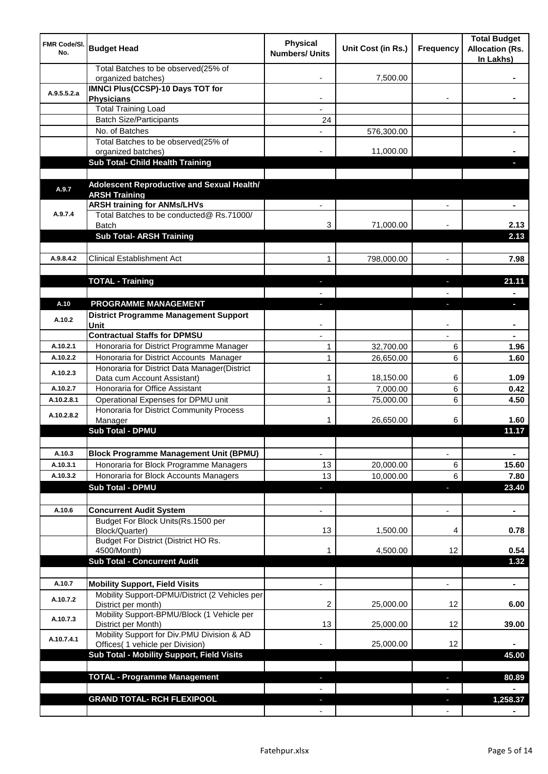| <b>FMR Code/SI.</b><br>No. | <b>Budget Head</b>                                                             | <b>Physical</b><br><b>Numbers/ Units</b> | Unit Cost (in Rs.) | Frequency                | <b>Total Budget</b><br><b>Allocation (Rs.</b><br>In Lakhs) |
|----------------------------|--------------------------------------------------------------------------------|------------------------------------------|--------------------|--------------------------|------------------------------------------------------------|
|                            | Total Batches to be observed(25% of<br>organized batches)                      |                                          | 7,500.00           |                          |                                                            |
| A.9.5.5.2.a                | <b>IMNCI Plus(CCSP)-10 Days TOT for</b>                                        |                                          |                    |                          |                                                            |
|                            | <b>Physicians</b>                                                              |                                          |                    |                          |                                                            |
|                            | <b>Total Training Load</b>                                                     |                                          |                    |                          |                                                            |
|                            | <b>Batch Size/Participants</b><br>No. of Batches                               | 24                                       |                    |                          |                                                            |
|                            | Total Batches to be observed(25% of                                            |                                          | 576,300.00         |                          |                                                            |
|                            | organized batches)                                                             |                                          | 11,000.00          |                          |                                                            |
|                            | Sub Total- Child Health Training                                               |                                          |                    |                          |                                                            |
|                            |                                                                                |                                          |                    |                          |                                                            |
| A.9.7                      | Adolescent Reproductive and Sexual Health/                                     |                                          |                    |                          |                                                            |
|                            | <b>ARSH Training</b>                                                           |                                          |                    |                          |                                                            |
| A.9.7.4                    | <b>ARSH training for ANMs/LHVs</b><br>Total Batches to be conducted@ Rs.71000/ |                                          |                    |                          |                                                            |
|                            | <b>Batch</b>                                                                   | 3                                        | 71,000.00          |                          | 2.13                                                       |
|                            | <b>Sub Total- ARSH Training</b>                                                |                                          |                    |                          | 2.13                                                       |
|                            |                                                                                |                                          |                    |                          |                                                            |
| A.9.8.4.2                  | <b>Clinical Establishment Act</b>                                              | 1                                        | 798,000.00         | $\overline{a}$           | 7.98                                                       |
|                            |                                                                                |                                          |                    |                          |                                                            |
|                            | <b>TOTAL - Training</b>                                                        |                                          |                    |                          | 21.11                                                      |
|                            |                                                                                |                                          |                    |                          |                                                            |
| A.10                       | PROGRAMME MANAGEMENT                                                           |                                          |                    |                          | o.                                                         |
| A.10.2                     | <b>District Programme Management Support</b>                                   |                                          |                    |                          |                                                            |
|                            | Unit                                                                           |                                          |                    |                          |                                                            |
|                            | <b>Contractual Staffs for DPMSU</b>                                            |                                          |                    |                          |                                                            |
| A.10.2.1                   | Honoraria for District Programme Manager                                       | 1                                        | 32,700.00          | 6                        | 1.96                                                       |
| A.10.2.2                   | Honoraria for District Accounts Manager                                        | $\mathbf{1}$                             | 26,650.00          | 6                        | 1.60                                                       |
| A.10.2.3                   | Honoraria for District Data Manager(District<br>Data cum Account Assistant)    | 1                                        | 18,150.00          | 6                        | 1.09                                                       |
| A.10.2.7                   | Honoraria for Office Assistant                                                 | 1                                        | 7,000.00           | 6                        | 0.42                                                       |
| A.10.2.8.1                 | Operational Expenses for DPMU unit                                             | 1                                        | 75,000.00          | 6                        | 4.50                                                       |
|                            | Honoraria for District Community Process                                       |                                          |                    |                          |                                                            |
| A.10.2.8.2                 | Manager                                                                        | 1                                        | 26,650.00          | 6                        | 1.60                                                       |
|                            | <b>Sub Total - DPMU</b>                                                        |                                          |                    |                          | 11.17                                                      |
|                            |                                                                                |                                          |                    |                          |                                                            |
| A.10.3                     | <b>Block Programme Management Unit (BPMU)</b>                                  | $\overline{\phantom{a}}$                 |                    | $\overline{\phantom{a}}$ | $\blacksquare$                                             |
| A.10.3.1                   | Honoraria for Block Programme Managers                                         | 13                                       | 20,000.00          | 6                        | 15.60                                                      |
| A.10.3.2                   | Honoraria for Block Accounts Managers                                          | 13                                       | 10,000.00          | 6                        | 7.80                                                       |
|                            | <b>Sub Total - DPMU</b>                                                        | ٠                                        |                    | J,                       | 23.40                                                      |
|                            |                                                                                |                                          |                    |                          |                                                            |
| A.10.6                     | <b>Concurrent Audit System</b><br>Budget For Block Units(Rs. 1500 per          |                                          |                    | $\overline{\phantom{0}}$ | $\blacksquare$                                             |
|                            | Block/Quarter)                                                                 | 13                                       | 1,500.00           | 4                        | 0.78                                                       |
|                            | Budget For District (District HO Rs.                                           |                                          |                    |                          |                                                            |
|                            | 4500/Month)                                                                    |                                          | 4,500.00           | 12                       | 0.54                                                       |
|                            | <b>Sub Total - Concurrent Audit</b>                                            |                                          |                    |                          | 1.32                                                       |
|                            |                                                                                |                                          |                    |                          |                                                            |
| A.10.7                     | <b>Mobility Support, Field Visits</b>                                          |                                          |                    | $\overline{a}$           | $\blacksquare$                                             |
| A.10.7.2                   | Mobility Support-DPMU/District (2 Vehicles per<br>District per month)          | 2                                        | 25,000.00          | 12                       | 6.00                                                       |
| A.10.7.3                   | Mobility Support-BPMU/Block (1 Vehicle per<br>District per Month)              | 13                                       | 25,000.00          | 12                       | 39.00                                                      |
| A.10.7.4.1                 | Mobility Support for Div.PMU Division & AD<br>Offices( 1 vehicle per Division) |                                          | 25,000.00          | 12                       |                                                            |
|                            | Sub Total - Mobility Support, Field Visits                                     |                                          |                    |                          | 45.00                                                      |
|                            |                                                                                |                                          |                    |                          |                                                            |
|                            | <b>TOTAL - Programme Management</b>                                            |                                          |                    | ı.                       | 80.89                                                      |
|                            |                                                                                |                                          |                    |                          |                                                            |
|                            | <b>GRAND TOTAL- RCH FLEXIPOOL</b>                                              |                                          |                    | a,                       | 1,258.37                                                   |
|                            |                                                                                |                                          |                    |                          |                                                            |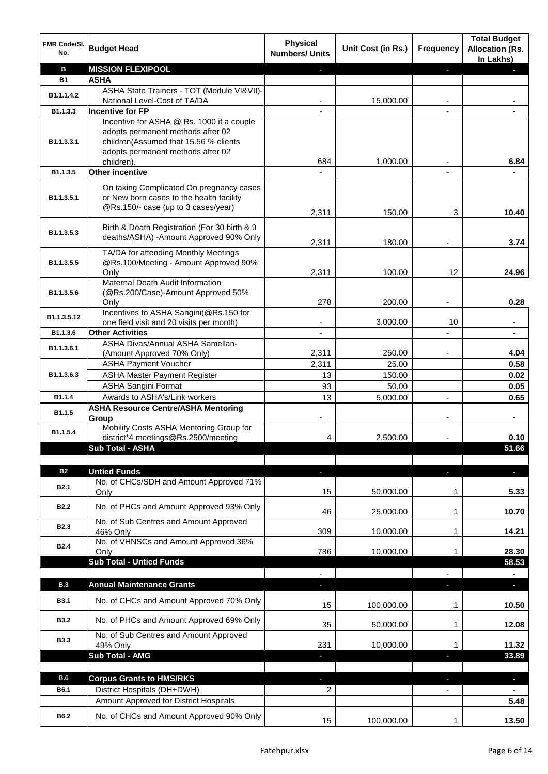| FMR Code/SI.<br>No. | <b>Budget Head</b>                                                                                                                                                         | <b>Physical</b><br><b>Numbers/ Units</b> | Unit Cost (in Rs.) | <b>Frequency</b> | <b>Total Budget</b><br><b>Allocation (Rs.</b><br>In Lakhs) |
|---------------------|----------------------------------------------------------------------------------------------------------------------------------------------------------------------------|------------------------------------------|--------------------|------------------|------------------------------------------------------------|
| в                   | <b>MISSION FLEXIPOOL</b>                                                                                                                                                   |                                          |                    | r                |                                                            |
| <b>B1</b>           | <b>ASHA</b>                                                                                                                                                                |                                          |                    |                  |                                                            |
| B1.1.1.4.2          | ASHA State Trainers - TOT (Module VI&VII)-                                                                                                                                 |                                          |                    |                  |                                                            |
|                     | National Level-Cost of TA/DA                                                                                                                                               |                                          | 15,000.00          |                  |                                                            |
| B1.1.3.3            | <b>Incentive for FP</b>                                                                                                                                                    |                                          |                    |                  |                                                            |
| B1.1.3.3.1          | Incentive for ASHA @ Rs. 1000 if a couple<br>adopts permanent methods after 02<br>children(Assumed that 15.56 % clients<br>adopts permanent methods after 02<br>children). | 684                                      | 1,000.00           |                  | 6.84                                                       |
| B1.1.3.5            | Other incentive                                                                                                                                                            |                                          |                    |                  |                                                            |
| B1.1.3.5.1          | On taking Complicated On pregnancy cases<br>or New born cases to the health facility<br>@Rs.150/- case (up to 3 cases/year)                                                |                                          |                    |                  |                                                            |
|                     |                                                                                                                                                                            | 2,311                                    | 150.00             | 3                | 10.40                                                      |
| B1.1.3.5.3          | Birth & Death Registration (For 30 birth & 9<br>deaths/ASHA) -Amount Approved 90% Only                                                                                     | 2,311                                    | 180.00             |                  | 3.74                                                       |
|                     | TA/DA for attending Monthly Meetings                                                                                                                                       |                                          |                    |                  |                                                            |
| B1.1.3.5.5          | @Rs.100/Meeting - Amount Approved 90%                                                                                                                                      |                                          |                    |                  |                                                            |
|                     | Only<br>Maternal Death Audit Information                                                                                                                                   | 2,311                                    | 100.00             | 12               | 24.96                                                      |
| B1.1.3.5.6          | (@Rs.200/Case)-Amount Approved 50%<br>Only                                                                                                                                 | 278                                      | 200.00             |                  | 0.28                                                       |
| B1.1.3.5.12         | Incentives to ASHA Sangini(@Rs.150 for                                                                                                                                     |                                          |                    |                  |                                                            |
|                     | one field visit and 20 visits per month)                                                                                                                                   | -                                        | 3,000.00           | 10               | $\blacksquare$                                             |
| B1.1.3.6            | <b>Other Activities</b>                                                                                                                                                    | $\overline{\phantom{a}}$                 |                    |                  | $\blacksquare$                                             |
| B1.1.3.6.1          | ASHA Divas/Annual ASHA Samellan-                                                                                                                                           |                                          |                    |                  | 4.04                                                       |
|                     | (Amount Approved 70% Only)<br><b>ASHA Payment Voucher</b>                                                                                                                  | 2,311<br>2,311                           | 250.00<br>25.00    |                  | 0.58                                                       |
| B1.1.3.6.3          |                                                                                                                                                                            |                                          |                    |                  |                                                            |
|                     | <b>ASHA Master Payment Register</b><br><b>ASHA Sangini Format</b>                                                                                                          | 13<br>93                                 | 150.00             |                  | 0.02                                                       |
| B1.1.4              | Awards to ASHA's/Link workers                                                                                                                                              | 13                                       | 50.00              |                  | 0.05                                                       |
|                     |                                                                                                                                                                            |                                          | 5,000.00           | $\overline{a}$   | 0.65                                                       |
| B1.1.5              | <b>ASHA Resource Centre/ASHA Mentoring</b><br>Group                                                                                                                        |                                          |                    |                  | $\blacksquare$                                             |
| B1.1.5.4            | Mobility Costs ASHA Mentoring Group for<br>district*4 meetings@Rs.2500/meeting                                                                                             | 4                                        | 2,500.00           |                  | 0.10                                                       |
|                     | <b>Sub Total - ASHA</b>                                                                                                                                                    |                                          |                    |                  | 51.66                                                      |
|                     |                                                                                                                                                                            |                                          |                    |                  |                                                            |
| <b>B2</b>           | <b>Untied Funds</b>                                                                                                                                                        | ٠                                        |                    | J,               | $\blacksquare$                                             |
| <b>B2.1</b>         | No. of CHCs/SDH and Amount Approved 71%<br>Only                                                                                                                            | 15                                       | 50,000.00          | 1                | 5.33                                                       |
| <b>B2.2</b>         | No. of PHCs and Amount Approved 93% Only                                                                                                                                   | 46                                       | 25,000.00          | 1                | 10.70                                                      |
| <b>B2.3</b>         | No. of Sub Centres and Amount Approved<br>46% Only                                                                                                                         | 309                                      | 10,000.00          | 1                | 14.21                                                      |
| <b>B2.4</b>         | No. of VHNSCs and Amount Approved 36%<br>Only                                                                                                                              | 786                                      | 10,000.00          | 1                | 28.30                                                      |
|                     | <b>Sub Total - Untied Funds</b>                                                                                                                                            |                                          |                    |                  | 58.53                                                      |
|                     |                                                                                                                                                                            |                                          |                    |                  |                                                            |
| <b>B.3</b>          | <b>Annual Maintenance Grants</b>                                                                                                                                           |                                          |                    |                  |                                                            |
| <b>B3.1</b>         | No. of CHCs and Amount Approved 70% Only                                                                                                                                   | 15                                       | 100,000.00         | 1                | 10.50                                                      |
| <b>B3.2</b>         | No. of PHCs and Amount Approved 69% Only                                                                                                                                   | 35                                       | 50,000.00          | 1                | 12.08                                                      |
| <b>B3.3</b>         | No. of Sub Centres and Amount Approved<br>49% Only                                                                                                                         | 231                                      | 10,000.00          | 1                | 11.32                                                      |
|                     | <b>Sub Total - AMG</b>                                                                                                                                                     | ٠                                        |                    | J,               | 33.89                                                      |
|                     |                                                                                                                                                                            |                                          |                    |                  |                                                            |
| <b>B.6</b>          | <b>Corpus Grants to HMS/RKS</b>                                                                                                                                            |                                          |                    |                  | $\blacksquare$                                             |
| B6.1                | District Hospitals (DH+DWH)                                                                                                                                                | 2                                        |                    |                  |                                                            |
|                     | Amount Approved for District Hospitals                                                                                                                                     |                                          |                    |                  | 5.48                                                       |
|                     |                                                                                                                                                                            |                                          |                    |                  |                                                            |
| B6.2                | No. of CHCs and Amount Approved 90% Only                                                                                                                                   | 15                                       | 100,000.00         | 1                | 13.50                                                      |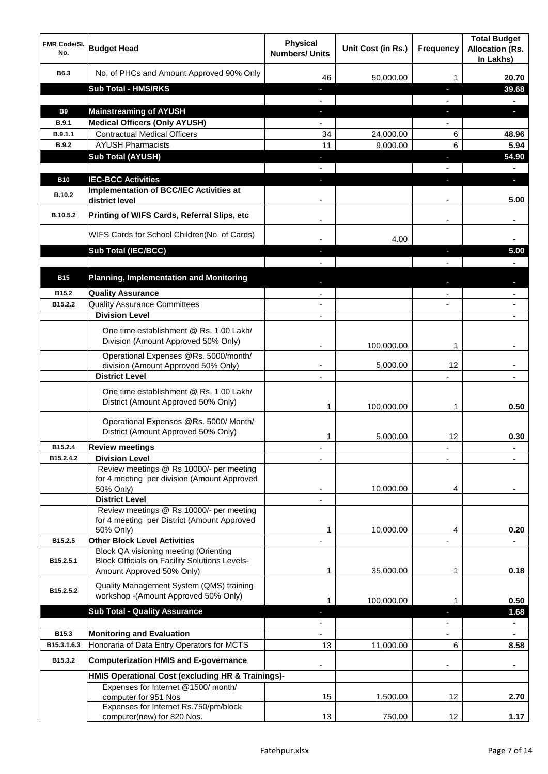| <b>FMR Code/SI.</b><br>No. | <b>Budget Head</b>                                                                                   | <b>Physical</b><br><b>Numbers/ Units</b> | Unit Cost (in Rs.) | <b>Frequency</b>  | <b>Total Budget</b><br><b>Allocation (Rs.</b><br>In Lakhs) |
|----------------------------|------------------------------------------------------------------------------------------------------|------------------------------------------|--------------------|-------------------|------------------------------------------------------------|
| B6.3                       | No. of PHCs and Amount Approved 90% Only                                                             | 46                                       | 50,000.00          | 1                 | 20.70                                                      |
|                            | <b>Sub Total - HMS/RKS</b>                                                                           | ٠                                        |                    | J,                | 39.68                                                      |
|                            |                                                                                                      |                                          |                    |                   |                                                            |
| <b>B9</b>                  | <b>Mainstreaming of AYUSH</b>                                                                        | J,                                       |                    | T                 | o.                                                         |
| B.9.1                      | <b>Medical Officers (Only AYUSH)</b>                                                                 |                                          |                    |                   |                                                            |
| B.9.1.1                    | <b>Contractual Medical Officers</b>                                                                  | 34                                       | 24,000.00          | 6                 | 48.96                                                      |
| <b>B.9.2</b>               | <b>AYUSH Pharmacists</b>                                                                             | 11                                       | 9,000.00           | 6                 | 5.94                                                       |
|                            | <b>Sub Total (AYUSH)</b>                                                                             | ٠                                        |                    | J,                | 54.90                                                      |
|                            |                                                                                                      |                                          |                    |                   |                                                            |
| <b>B10</b>                 | <b>IEC-BCC Activities</b>                                                                            |                                          |                    | ı.                | н                                                          |
| <b>B.10.2</b>              | <b>Implementation of BCC/IEC Activities at</b><br>district level                                     |                                          |                    |                   | 5.00                                                       |
| B.10.5.2                   | Printing of WIFS Cards, Referral Slips, etc                                                          |                                          |                    | $\blacksquare$    |                                                            |
|                            | WIFS Cards for School Children(No. of Cards)                                                         |                                          | 4.00               |                   |                                                            |
|                            | Sub Total (IEC/BCC)                                                                                  |                                          |                    | ı                 | 5.00                                                       |
|                            |                                                                                                      |                                          |                    |                   |                                                            |
| <b>B15</b>                 | <b>Planning, Implementation and Monitoring</b>                                                       |                                          |                    |                   |                                                            |
| B15.2                      | <b>Quality Assurance</b>                                                                             |                                          |                    |                   |                                                            |
| B15.2.2                    | <b>Quality Assurance Committees</b>                                                                  | $\overline{\phantom{a}}$                 |                    |                   |                                                            |
|                            | <b>Division Level</b>                                                                                | $\blacksquare$                           |                    |                   | $\blacksquare$                                             |
|                            | One time establishment @ Rs. 1.00 Lakh/<br>Division (Amount Approved 50% Only)                       |                                          |                    |                   |                                                            |
|                            | Operational Expenses @Rs. 5000/month/                                                                |                                          | 100,000.00         | 1                 |                                                            |
|                            | division (Amount Approved 50% Only)<br><b>District Level</b>                                         | ٠<br>$\overline{\phantom{a}}$            | 5,000.00           | 12                |                                                            |
|                            | One time establishment @ Rs. 1.00 Lakh/<br>District (Amount Approved 50% Only)                       | 1                                        | 100,000.00         | 1                 | 0.50                                                       |
|                            | Operational Expenses @Rs. 5000/ Month/<br>District (Amount Approved 50% Only)                        | 1                                        | 5,000.00           | 12                | 0.30                                                       |
| B15.2.4                    | <b>Review meetings</b>                                                                               | ٠                                        |                    | ٠                 |                                                            |
| B15.2.4.2                  | <b>Division Level</b>                                                                                |                                          |                    |                   |                                                            |
|                            | Review meetings @ Rs 10000/- per meeting<br>for 4 meeting per division (Amount Approved<br>50% Only) |                                          | 10,000.00          | 4                 |                                                            |
|                            | <b>District Level</b><br>Review meetings @ Rs 10000/- per meeting                                    |                                          |                    |                   |                                                            |
|                            | for 4 meeting per District (Amount Approved                                                          |                                          |                    |                   |                                                            |
|                            | 50% Only)                                                                                            | 1                                        | 10,000.00          | 4                 | 0.20                                                       |
| B15.2.5                    | <b>Other Block Level Activities</b>                                                                  |                                          |                    |                   |                                                            |
| B15.2.5.1                  | Block QA visioning meeting (Orienting<br><b>Block Officials on Facility Solutions Levels-</b>        |                                          |                    |                   |                                                            |
|                            | Amount Approved 50% Only)                                                                            | 1                                        | 35,000.00          | 1                 | 0.18                                                       |
| B15.2.5.2                  | Quality Management System (QMS) training<br>workshop -(Amount Approved 50% Only)                     | 1                                        | 100,000.00         | 1                 | 0.50                                                       |
|                            | <b>Sub Total - Quality Assurance</b>                                                                 |                                          |                    |                   | 1.68                                                       |
|                            |                                                                                                      |                                          |                    |                   | $\blacksquare$                                             |
| B15.3                      | <b>Monitoring and Evaluation</b>                                                                     |                                          |                    |                   |                                                            |
| B15.3.1.6.3                | Honoraria of Data Entry Operators for MCTS                                                           | 13                                       | 11,000.00          | 6                 | 8.58                                                       |
| B15.3.2                    | <b>Computerization HMIS and E-governance</b>                                                         |                                          |                    |                   |                                                            |
|                            | HMIS Operational Cost (excluding HR & Trainings)-                                                    |                                          |                    |                   |                                                            |
|                            | Expenses for Internet @1500/month/<br>computer for 951 Nos                                           | 15                                       | 1,500.00           | 12                | 2.70                                                       |
|                            | Expenses for Internet Rs.750/pm/block<br>computer(new) for 820 Nos.                                  | 13                                       | 750.00             | $12 \overline{ }$ | 1.17                                                       |
|                            |                                                                                                      |                                          |                    |                   |                                                            |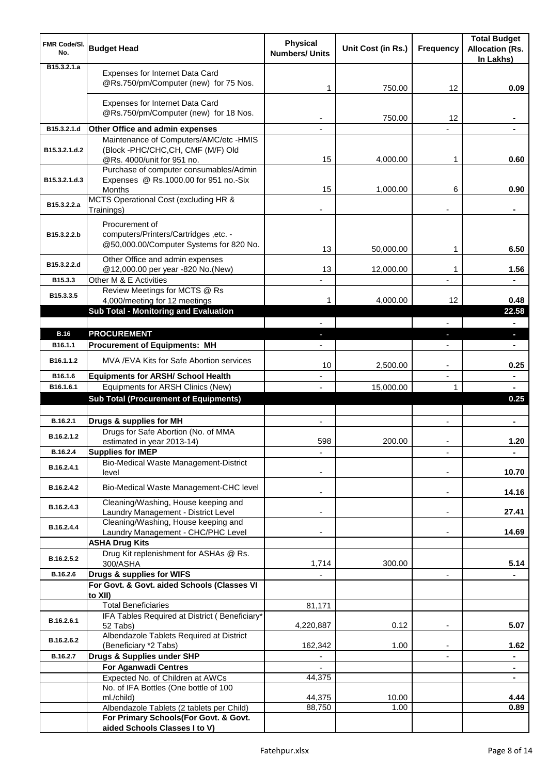| <b>FMR Code/SI.</b><br>No.   | <b>Budget Head</b>                                                                                 | <b>Physical</b><br><b>Numbers/ Units</b> | Unit Cost (in Rs.) | <b>Frequency</b>         | <b>Total Budget</b><br><b>Allocation (Rs.</b><br>In Lakhs) |
|------------------------------|----------------------------------------------------------------------------------------------------|------------------------------------------|--------------------|--------------------------|------------------------------------------------------------|
| B <sub>15</sub> , 3, 2, 1, a | Expenses for Internet Data Card<br>@Rs.750/pm/Computer (new) for 75 Nos.                           | 1                                        | 750.00             | 12                       | 0.09                                                       |
|                              | Expenses for Internet Data Card<br>@Rs.750/pm/Computer (new) for 18 Nos.                           |                                          | 750.00             | 12                       |                                                            |
| B15.3.2.1.d                  | Other Office and admin expenses                                                                    |                                          |                    |                          |                                                            |
|                              | Maintenance of Computers/AMC/etc -HMIS                                                             |                                          |                    |                          |                                                            |
| B15.3.2.1.d.2                | (Block -PHC/CHC,CH, CMF (M/F) Old<br>@Rs. 4000/unit for 951 no.                                    | 15                                       | 4,000.00           | 1                        | 0.60                                                       |
| B15.3.2.1.d.3                | Purchase of computer consumables/Admin<br>Expenses @ Rs.1000.00 for 951 no.-Six<br>Months          | 15                                       |                    | 6                        | 0.90                                                       |
| B15.3.2.2.a                  | MCTS Operational Cost (excluding HR &                                                              |                                          | 1,000.00           |                          |                                                            |
|                              | Trainings)                                                                                         |                                          |                    |                          |                                                            |
| B15.3.2.2.b                  | Procurement of<br>computers/Printers/Cartridges ,etc. -<br>@50,000.00/Computer Systems for 820 No. | 13                                       | 50,000.00          | 1                        | 6.50                                                       |
| B15.3.2.2.d                  | Other Office and admin expenses                                                                    |                                          |                    |                          |                                                            |
| B15.3.3                      | @12,000.00 per year -820 No.(New)<br>Other M & E Activities                                        | 13                                       | 12,000.00          | 1                        | 1.56                                                       |
| B15.3.3.5                    | Review Meetings for MCTS @ Rs<br>4,000/meeting for 12 meetings                                     | 1                                        | 4,000.00           | 12                       | 0.48                                                       |
|                              | Sub Total - Monitoring and Evaluation                                                              |                                          |                    |                          | 22.58                                                      |
|                              |                                                                                                    |                                          |                    |                          |                                                            |
| <b>B.16</b>                  | <b>PROCUREMENT</b>                                                                                 |                                          |                    | J,                       | o.                                                         |
| B <sub>16.1.1</sub>          | <b>Procurement of Equipments: MH</b>                                                               |                                          |                    |                          |                                                            |
| B16.1.1.2                    | MVA / EVA Kits for Safe Abortion services                                                          | 10                                       | 2,500.00           | $\overline{\phantom{a}}$ | 0.25                                                       |
| B16.1.6                      | <b>Equipments for ARSH/ School Health</b>                                                          |                                          |                    | $\overline{\phantom{a}}$ | ۰                                                          |
| B16.1.6.1                    | Equipments for ARSH Clinics (New)<br><b>Sub Total (Procurement of Equipments)</b>                  |                                          | 15,000.00          | 1                        | $\blacksquare$<br>0.25                                     |
|                              |                                                                                                    |                                          |                    |                          |                                                            |
| B.16.2.1                     | Drugs & supplies for MH                                                                            | $\blacksquare$                           |                    | $\blacksquare$           | $\blacksquare$                                             |
| B.16.2.1.2                   | Drugs for Safe Abortion (No. of MMA<br>estimated in year 2013-14)                                  | 598                                      | 200.00             |                          | 1.20                                                       |
| B.16.2.4                     | <b>Supplies for IMEP</b>                                                                           |                                          |                    |                          | ÷                                                          |
| B.16.2.4.1                   | Bio-Medical Waste Management-District<br>level                                                     |                                          |                    |                          | 10.70                                                      |
| B.16.2.4.2                   | Bio-Medical Waste Management-CHC level                                                             |                                          |                    | $\overline{\phantom{a}}$ | 14.16                                                      |
| B.16.2.4.3                   | Cleaning/Washing, House keeping and<br>Laundry Management - District Level                         |                                          |                    | $\blacksquare$           | 27.41                                                      |
| B.16.2.4.4                   | Cleaning/Washing, House keeping and                                                                |                                          |                    |                          |                                                            |
|                              | Laundry Management - CHC/PHC Level                                                                 |                                          |                    |                          | 14.69                                                      |
|                              | <b>ASHA Drug Kits</b><br>Drug Kit replenishment for ASHAs @ Rs.                                    |                                          |                    |                          |                                                            |
| B.16.2.5.2                   | 300/ASHA                                                                                           | 1,714                                    | 300.00             |                          | 5.14                                                       |
| B.16.2.6                     | Drugs & supplies for WIFS                                                                          |                                          |                    | $\overline{\phantom{a}}$ |                                                            |
|                              | For Govt. & Govt. aided Schools (Classes VI                                                        |                                          |                    |                          |                                                            |
|                              | to XII)<br><b>Total Beneficiaries</b>                                                              | 81,171                                   |                    |                          |                                                            |
| B.16.2.6.1                   | IFA Tables Required at District (Beneficiary*                                                      |                                          |                    |                          |                                                            |
|                              | 52 Tabs)<br>Albendazole Tablets Required at District                                               | 4,220,887                                | 0.12               | $\blacksquare$           | 5.07                                                       |
| B.16.2.6.2                   | (Beneficiary *2 Tabs)                                                                              | 162,342                                  | 1.00               |                          | 1.62                                                       |
| B.16.2.7                     | Drugs & Supplies under SHP                                                                         |                                          |                    |                          | ۰                                                          |
|                              | <b>For Aganwadi Centres</b>                                                                        |                                          |                    |                          | $\blacksquare$                                             |
|                              | Expected No. of Children at AWCs<br>No. of IFA Bottles (One bottle of 100                          | 44,375                                   |                    |                          | $\blacksquare$                                             |
|                              | ml./child)                                                                                         | 44,375                                   | 10.00              |                          | 4.44                                                       |
|                              | Albendazole Tablets (2 tablets per Child)                                                          | 88,750                                   | 1.00               |                          | 0.89                                                       |
|                              | For Primary Schools(For Govt. & Govt.<br>aided Schools Classes I to V)                             |                                          |                    |                          |                                                            |
|                              |                                                                                                    |                                          |                    |                          |                                                            |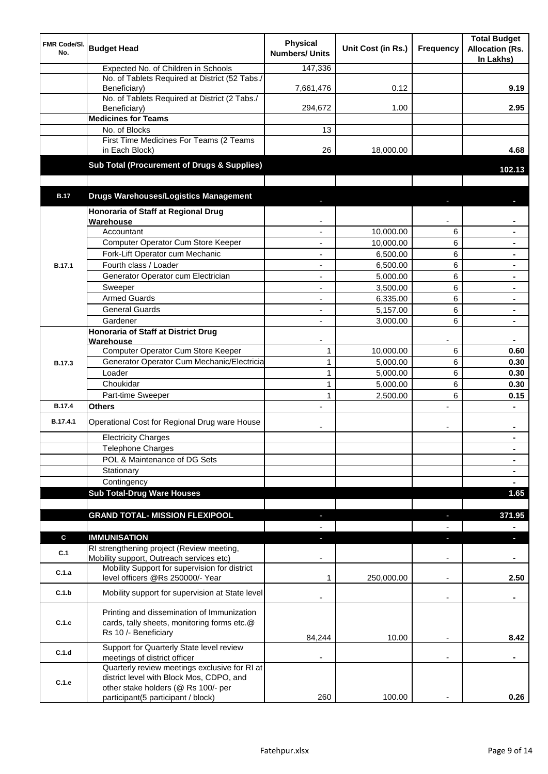| <b>FMR Code/SI.</b><br>No. | <b>Budget Head</b>                                                                                                        | <b>Physical</b><br><b>Numbers/ Units</b> | Unit Cost (in Rs.) | Frequency                | <b>Total Budget</b><br><b>Allocation (Rs.</b><br>In Lakhs) |
|----------------------------|---------------------------------------------------------------------------------------------------------------------------|------------------------------------------|--------------------|--------------------------|------------------------------------------------------------|
|                            | Expected No. of Children in Schools                                                                                       | 147,336                                  |                    |                          |                                                            |
|                            | No. of Tablets Required at District (52 Tabs./<br>Beneficiary)                                                            | 7,661,476                                | 0.12               |                          | 9.19                                                       |
|                            | No. of Tablets Required at District (2 Tabs./<br>Beneficiary)                                                             | 294,672                                  | 1.00               |                          | 2.95                                                       |
|                            | <b>Medicines for Teams</b>                                                                                                |                                          |                    |                          |                                                            |
|                            | No. of Blocks                                                                                                             | 13                                       |                    |                          |                                                            |
|                            | First Time Medicines For Teams (2 Teams<br>in Each Block)                                                                 | 26                                       | 18,000.00          |                          | 4.68                                                       |
|                            | Sub Total (Procurement of Drugs & Supplies)                                                                               |                                          |                    |                          | 102.13                                                     |
|                            |                                                                                                                           |                                          |                    |                          |                                                            |
| <b>B.17</b>                | <b>Drugs Warehouses/Logistics Management</b>                                                                              |                                          |                    |                          |                                                            |
|                            | Honoraria of Staff at Regional Drug<br>Warehouse                                                                          |                                          |                    |                          |                                                            |
|                            | Accountant                                                                                                                |                                          | 10,000.00          | 6                        |                                                            |
|                            | Computer Operator Cum Store Keeper                                                                                        |                                          | 10,000.00          | 6                        | $\blacksquare$                                             |
|                            | Fork-Lift Operator cum Mechanic                                                                                           | ä,                                       | 6,500.00           | 6                        | $\blacksquare$                                             |
| <b>B.17.1</b>              | Fourth class / Loader                                                                                                     | ä,                                       | 6,500.00           | 6                        | $\blacksquare$                                             |
|                            | Generator Operator cum Electrician                                                                                        | ÷,                                       | 5,000.00           | 6                        |                                                            |
|                            | Sweeper                                                                                                                   | ÷,                                       | 3,500.00           | 6                        |                                                            |
|                            | <b>Armed Guards</b>                                                                                                       | ÷,                                       | 6,335.00           | 6                        |                                                            |
|                            | <b>General Guards</b>                                                                                                     | $\blacksquare$                           | 5,157.00           | 6                        | $\blacksquare$                                             |
|                            | Gardener                                                                                                                  | ä,                                       | 3,000.00           | 6                        |                                                            |
|                            | <b>Honoraria of Staff at District Drug</b>                                                                                |                                          |                    |                          |                                                            |
|                            | Warehouse                                                                                                                 |                                          |                    |                          |                                                            |
|                            | Computer Operator Cum Store Keeper                                                                                        | $\mathbf{1}$                             | 10,000.00          | 6                        | 0.60                                                       |
| <b>B.17.3</b>              | Generator Operator Cum Mechanic/Electricia                                                                                | $\mathbf{1}$                             | 5,000.00           | 6                        | 0.30                                                       |
|                            | Loader                                                                                                                    | $\mathbf{1}$                             | 5,000.00           | 6                        | 0.30                                                       |
|                            | Choukidar                                                                                                                 | $\mathbf{1}$                             | 5,000.00           | 6                        | 0.30                                                       |
|                            | Part-time Sweeper                                                                                                         | 1                                        | 2,500.00           | 6                        | 0.15                                                       |
| <b>B.17.4</b>              | Others                                                                                                                    |                                          |                    | $\overline{a}$           |                                                            |
| B.17.4.1                   | Operational Cost for Regional Drug ware House                                                                             |                                          |                    | $\overline{\phantom{a}}$ | $\blacksquare$                                             |
|                            | <b>Electricity Charges</b>                                                                                                |                                          |                    |                          |                                                            |
|                            | <b>Telephone Charges</b>                                                                                                  |                                          |                    |                          | $\blacksquare$                                             |
|                            | POL & Maintenance of DG Sets                                                                                              |                                          |                    |                          | $\blacksquare$                                             |
|                            | Stationary<br>Contingency                                                                                                 |                                          |                    |                          | $\blacksquare$                                             |
|                            | <b>Sub Total-Drug Ware Houses</b>                                                                                         |                                          |                    |                          | 1.65                                                       |
|                            |                                                                                                                           |                                          |                    |                          |                                                            |
|                            | <b>GRAND TOTAL- MISSION FLEXIPOOL</b>                                                                                     |                                          |                    |                          | 371.95                                                     |
| C                          | <b>IMMUNISATION</b>                                                                                                       |                                          |                    | ٠                        | п                                                          |
| C.1                        | RI strengthening project (Review meeting,<br>Mobility support, Outreach services etc)                                     |                                          |                    |                          |                                                            |
| C.1.a                      | Mobility Support for supervision for district<br>level officers @Rs 250000/- Year                                         | 1                                        | 250,000.00         | $\overline{\phantom{a}}$ | 2.50                                                       |
| C.1.b                      | Mobility support for supervision at State level                                                                           |                                          |                    | $\overline{\phantom{a}}$ | ۰                                                          |
| C.1.c                      | Printing and dissemination of Immunization<br>cards, tally sheets, monitoring forms etc.@<br>Rs 10 /- Beneficiary         | 84,244                                   | 10.00              |                          | 8.42                                                       |
| C.1.d                      | Support for Quarterly State level review                                                                                  |                                          |                    |                          |                                                            |
|                            | meetings of district officer<br>Quarterly review meetings exclusive for RI at<br>district level with Block Mos, CDPO, and |                                          |                    |                          |                                                            |
| C.1.e                      | other stake holders (@ Rs 100/- per                                                                                       |                                          |                    |                          |                                                            |
|                            | participant(5 participant / block)                                                                                        | 260                                      | 100.00             |                          | 0.26                                                       |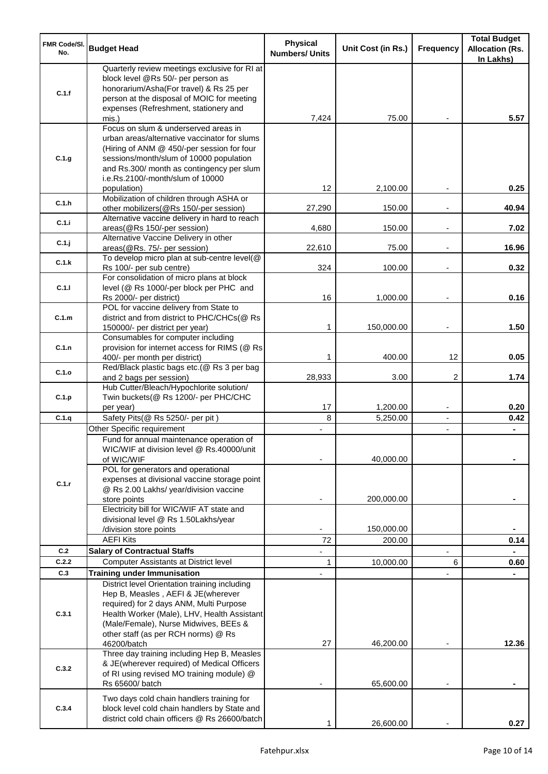| <b>FMR Code/SI.</b><br>No. | <b>Budget Head</b>                                                                                                                                                                                                     | <b>Physical</b><br><b>Numbers/ Units</b> | Unit Cost (in Rs.) | <b>Frequency</b>         | <b>Total Budget</b><br><b>Allocation (Rs.</b><br>In Lakhs) |
|----------------------------|------------------------------------------------------------------------------------------------------------------------------------------------------------------------------------------------------------------------|------------------------------------------|--------------------|--------------------------|------------------------------------------------------------|
| C.1.f                      | Quarterly review meetings exclusive for RI at<br>block level @Rs 50/- per person as<br>honorarium/Asha(For travel) & Rs 25 per<br>person at the disposal of MOIC for meeting<br>expenses (Refreshment, stationery and  |                                          |                    |                          |                                                            |
|                            | mis.)<br>Focus on slum & underserved areas in<br>urban areas/alternative vaccinator for slums<br>(Hiring of ANM @ 450/-per session for four                                                                            | 7,424                                    | 75.00              |                          | 5.57                                                       |
| C.1.g                      | sessions/month/slum of 10000 population<br>and Rs.300/ month as contingency per slum<br>i.e.Rs.2100/-month/slum of 10000<br>population)                                                                                | 12                                       | 2,100.00           |                          | 0.25                                                       |
| C.1.h                      | Mobilization of children through ASHA or<br>other mobilizers(@Rs 150/-per session)                                                                                                                                     | 27,290                                   | 150.00             |                          | 40.94                                                      |
| C.1.i                      | Alternative vaccine delivery in hard to reach<br>areas(@Rs 150/-per session)                                                                                                                                           | 4,680                                    | 150.00             | $\overline{\phantom{a}}$ | 7.02                                                       |
| C.1.j                      | Alternative Vaccine Delivery in other<br>areas(@Rs. 75/- per session)                                                                                                                                                  | 22,610                                   | 75.00              | $\blacksquare$           | 16.96                                                      |
| C.1.k                      | To develop micro plan at sub-centre level(@<br>Rs 100/- per sub centre)<br>For consolidation of micro plans at block                                                                                                   | 324                                      | 100.00             |                          | 0.32                                                       |
| C.1.1                      | level (@ Rs 1000/-per block per PHC and<br>Rs 2000/- per district)                                                                                                                                                     | 16                                       | 1,000.00           |                          | 0.16                                                       |
| C.1.m                      | POL for vaccine delivery from State to<br>district and from district to PHC/CHCs(@ Rs<br>150000/- per district per year)                                                                                               | 1                                        | 150,000.00         | $\overline{\phantom{a}}$ | 1.50                                                       |
| C.1.n                      | Consumables for computer including<br>provision for internet access for RIMS (@ Rs<br>400/- per month per district)                                                                                                    | 1                                        | 400.00             | 12                       | 0.05                                                       |
| C.1.o                      | Red/Black plastic bags etc.(@ Rs 3 per bag<br>and 2 bags per session)                                                                                                                                                  | 28,933                                   | 3.00               | 2                        | 1.74                                                       |
| C.1.p                      | Hub Cutter/Bleach/Hypochlorite solution/<br>Twin buckets(@ Rs 1200/- per PHC/CHC                                                                                                                                       | 17                                       | 1,200.00           | $\overline{\phantom{a}}$ | 0.20                                                       |
| C.1.q                      | per year)<br>Safety Pits(@ Rs 5250/- per pit)                                                                                                                                                                          | 8                                        | 5,250.00           | $\blacksquare$           | 0.42                                                       |
|                            | Other Specific requirement                                                                                                                                                                                             |                                          |                    | $\blacksquare$           |                                                            |
|                            | Fund for annual maintenance operation of<br>WIC/WIF at division level @ Rs.40000/unit<br>of WIC/WIF<br>POL for generators and operational                                                                              |                                          | 40,000.00          |                          |                                                            |
| C.1.r                      | expenses at divisional vaccine storage point<br>@ Rs 2.00 Lakhs/ year/division vaccine<br>store points                                                                                                                 |                                          | 200,000.00         |                          |                                                            |
|                            | Electricity bill for WIC/WIF AT state and<br>divisional level @ Rs 1.50Lakhs/year                                                                                                                                      |                                          |                    |                          |                                                            |
|                            | /division store points                                                                                                                                                                                                 |                                          | 150,000.00         |                          |                                                            |
|                            | <b>AEFI Kits</b><br><b>Salary of Contractual Staffs</b>                                                                                                                                                                | 72                                       | 200.00             |                          | 0.14                                                       |
| C.2<br>C.2.2               | <b>Computer Assistants at District level</b>                                                                                                                                                                           | 1                                        | 10,000.00          | 6                        | 0.60                                                       |
| C.3                        | <b>Training under Immunisation</b>                                                                                                                                                                                     |                                          |                    |                          |                                                            |
| C.3.1                      | District level Orientation training including<br>Hep B, Measles, AEFI & JE(wherever<br>required) for 2 days ANM, Multi Purpose<br>Health Worker (Male), LHV, Health Assistant<br>(Male/Female), Nurse Midwives, BEEs & |                                          |                    |                          |                                                            |
|                            | other staff (as per RCH norms) @ Rs<br>46200/batch                                                                                                                                                                     | 27                                       | 46,200.00          |                          | 12.36                                                      |
| C.3.2                      | Three day training including Hep B, Measles<br>& JE(wherever required) of Medical Officers<br>of RI using revised MO training module) @<br>Rs 65600/ batch                                                             |                                          | 65,600.00          |                          |                                                            |
| C.3.4                      | Two days cold chain handlers training for<br>block level cold chain handlers by State and<br>district cold chain officers @ Rs 26600/batch                                                                             |                                          | 26,600.00          |                          | 0.27                                                       |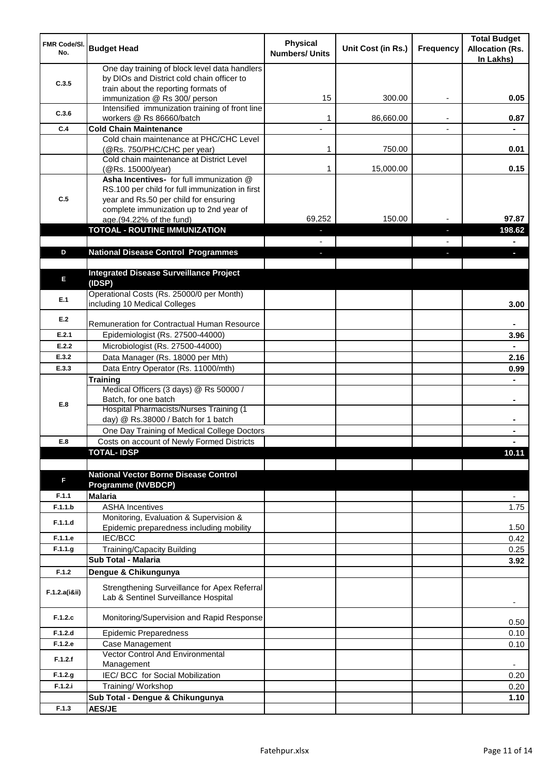| FMR Code/SI.<br>No. | <b>Budget Head</b>                                                                                                                   | <b>Physical</b><br><b>Numbers/ Units</b> | Unit Cost (in Rs.) | Frequency | <b>Total Budget</b><br><b>Allocation (Rs.</b><br>In Lakhs) |
|---------------------|--------------------------------------------------------------------------------------------------------------------------------------|------------------------------------------|--------------------|-----------|------------------------------------------------------------|
| C.3.5               | One day training of block level data handlers<br>by DIOs and District cold chain officer to<br>train about the reporting formats of  |                                          |                    |           |                                                            |
|                     | immunization @ Rs 300/ person                                                                                                        | 15                                       | 300.00             | ٠         | 0.05                                                       |
| C.3.6               | Intensified immunization training of front line<br>workers @ Rs 86660/batch                                                          | 1                                        | 86,660.00          |           | 0.87                                                       |
| C.4                 | <b>Cold Chain Maintenance</b>                                                                                                        | $\overline{a}$                           |                    |           |                                                            |
|                     | Cold chain maintenance at PHC/CHC Level<br>(@Rs. 750/PHC/CHC per year)                                                               | 1                                        | 750.00             |           | 0.01                                                       |
|                     | Cold chain maintenance at District Level<br>(@Rs. 15000/year)                                                                        | 1                                        | 15,000.00          |           | 0.15                                                       |
| C.5                 | Asha Incentives- for full immunization @<br>RS.100 per child for full immunization in first<br>year and Rs.50 per child for ensuring |                                          |                    |           |                                                            |
|                     | complete immunization up to 2nd year of<br>age.(94.22% of the fund)                                                                  | 69,252                                   | 150.00             |           | 97.87                                                      |
|                     | <b>TOTOAL - ROUTINE IMMUNIZATION</b>                                                                                                 |                                          |                    |           | 198.62                                                     |
|                     |                                                                                                                                      |                                          |                    |           |                                                            |
| D                   | <b>National Disease Control Programmes</b>                                                                                           |                                          |                    |           |                                                            |
|                     |                                                                                                                                      |                                          |                    |           |                                                            |
| E                   | <b>Integrated Disease Surveillance Project</b><br>(IDSP)                                                                             |                                          |                    |           |                                                            |
| E.1                 | Operational Costs (Rs. 25000/0 per Month)<br>including 10 Medical Colleges                                                           |                                          |                    |           | 3.00                                                       |
| E.2                 | Remuneration for Contractual Human Resource                                                                                          |                                          |                    |           |                                                            |
| E.2.1               | Epidemiologist (Rs. 27500-44000)                                                                                                     |                                          |                    |           | 3.96                                                       |
| E.2.2               | Microbiologist (Rs. 27500-44000)                                                                                                     |                                          |                    |           |                                                            |
| E.3.2               | Data Manager (Rs. 18000 per Mth)                                                                                                     |                                          |                    |           | 2.16                                                       |
| E.3.3               | Data Entry Operator (Rs. 11000/mth)                                                                                                  |                                          |                    |           | 0.99                                                       |
|                     | Training                                                                                                                             |                                          |                    |           |                                                            |
|                     | Medical Officers (3 days) @ Rs 50000 /                                                                                               |                                          |                    |           |                                                            |
| E.8                 | Batch, for one batch                                                                                                                 |                                          |                    |           | $\blacksquare$                                             |
|                     | Hospital Pharmacists/Nurses Training (1                                                                                              |                                          |                    |           |                                                            |
|                     | day) @ Rs.38000 / Batch for 1 batch                                                                                                  |                                          |                    |           |                                                            |
|                     | One Day Training of Medical College Doctors                                                                                          |                                          |                    |           |                                                            |
| E.8                 | Costs on account of Newly Formed Districts                                                                                           |                                          |                    |           |                                                            |
|                     | <b>TOTAL-IDSP</b>                                                                                                                    |                                          |                    |           | 10.11                                                      |
| F                   | <b>National Vector Borne Disease Control</b><br><b>Programme (NVBDCP)</b>                                                            |                                          |                    |           |                                                            |
| F.1.1               | <b>Malaria</b>                                                                                                                       |                                          |                    |           | $\overline{\phantom{a}}$                                   |
| F.1.1.b             | <b>ASHA Incentives</b>                                                                                                               |                                          |                    |           | 1.75                                                       |
| F.1.1.d             | Monitoring, Evaluation & Supervision &<br>Epidemic preparedness including mobility                                                   |                                          |                    |           | 1.50                                                       |
| F.1.1.e             | <b>IEC/BCC</b>                                                                                                                       |                                          |                    |           | 0.42                                                       |
| F.1.1.g             | Training/Capacity Building                                                                                                           |                                          |                    |           | 0.25                                                       |
|                     | <b>Sub Total - Malaria</b>                                                                                                           |                                          |                    |           | 3.92                                                       |
| F.1.2               | Dengue & Chikungunya                                                                                                                 |                                          |                    |           |                                                            |
| F.1.2.a(iⅈ)         | Strengthening Surveillance for Apex Referral<br>Lab & Sentinel Surveillance Hospital                                                 |                                          |                    |           |                                                            |
| F.1.2.c             | Monitoring/Supervision and Rapid Response                                                                                            |                                          |                    |           | 0.50                                                       |
| F.1.2.d             | <b>Epidemic Preparedness</b>                                                                                                         |                                          |                    |           | 0.10                                                       |
| F.1.2.e             | Case Management                                                                                                                      |                                          |                    |           | 0.10                                                       |
| F.1.2.f             | Vector Control And Environmental<br>Management                                                                                       |                                          |                    |           | $\overline{\phantom{a}}$                                   |
| F.1.2.g             | IEC/ BCC for Social Mobilization                                                                                                     |                                          |                    |           | 0.20                                                       |
| F.1.2.i             | Training/Workshop                                                                                                                    |                                          |                    |           | 0.20                                                       |
|                     | Sub Total - Dengue & Chikungunya                                                                                                     |                                          |                    |           | 1.10                                                       |
| F.1.3               | <b>AES/JE</b>                                                                                                                        |                                          |                    |           |                                                            |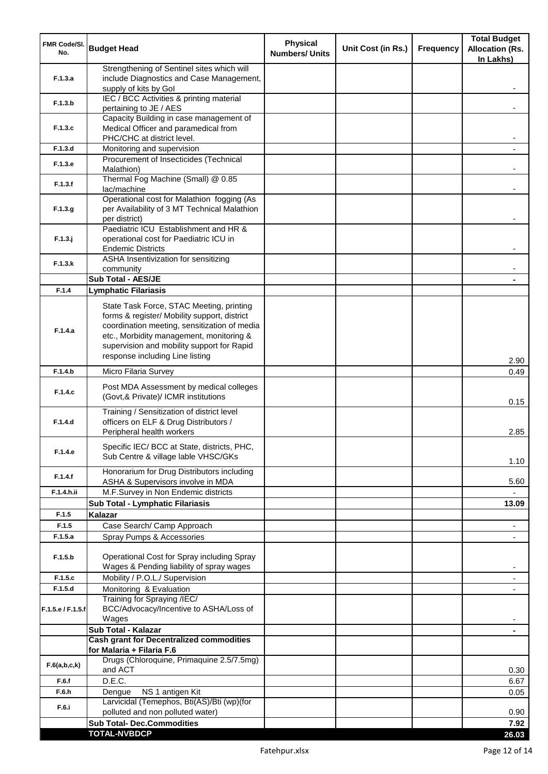| <b>FMR Code/SI.</b><br>No.   | <b>Budget Head</b>                                                                                                                                                                                                                                                    | <b>Physical</b><br><b>Numbers/ Units</b> | Unit Cost (in Rs.) | <b>Frequency</b> | <b>Total Budget</b><br><b>Allocation (Rs.</b><br>In Lakhs) |
|------------------------------|-----------------------------------------------------------------------------------------------------------------------------------------------------------------------------------------------------------------------------------------------------------------------|------------------------------------------|--------------------|------------------|------------------------------------------------------------|
| F.1.3.a                      | Strengthening of Sentinel sites which will<br>include Diagnostics and Case Management,<br>supply of kits by Gol                                                                                                                                                       |                                          |                    |                  |                                                            |
| F.1.3.b                      | IEC / BCC Activities & printing material<br>pertaining to JE / AES                                                                                                                                                                                                    |                                          |                    |                  |                                                            |
| F.1.3.c                      | Capacity Building in case management of<br>Medical Officer and paramedical from                                                                                                                                                                                       |                                          |                    |                  |                                                            |
|                              | PHC/CHC at district level.                                                                                                                                                                                                                                            |                                          |                    |                  |                                                            |
| F.1.3.d                      | Monitoring and supervision<br>Procurement of Insecticides (Technical                                                                                                                                                                                                  |                                          |                    |                  |                                                            |
| F.1.3.e                      | Malathion)<br>Thermal Fog Machine (Small) @ 0.85                                                                                                                                                                                                                      |                                          |                    |                  |                                                            |
| F.1.3.f                      | lac/machine                                                                                                                                                                                                                                                           |                                          |                    |                  |                                                            |
| F.1.3.g                      | Operational cost for Malathion fogging (As<br>per Availability of 3 MT Technical Malathion<br>per district)                                                                                                                                                           |                                          |                    |                  |                                                            |
| $F.1.3.$ j                   | Paediatric ICU Establishment and HR &<br>operational cost for Paediatric ICU in<br><b>Endemic Districts</b>                                                                                                                                                           |                                          |                    |                  |                                                            |
| F.1.3.k                      | ASHA Insentivization for sensitizing<br>community                                                                                                                                                                                                                     |                                          |                    |                  |                                                            |
|                              | Sub Total - AES/JE                                                                                                                                                                                                                                                    |                                          |                    |                  |                                                            |
| F.1.4                        | <b>Lymphatic Filariasis</b>                                                                                                                                                                                                                                           |                                          |                    |                  |                                                            |
| F.1.4.a                      | State Task Force, STAC Meeting, printing<br>forms & register/ Mobility support, district<br>coordination meeting, sensitization of media<br>etc., Morbidity management, monitoring &<br>supervision and mobility support for Rapid<br>response including Line listing |                                          |                    |                  | 2.90                                                       |
| F.1.4.b                      | Micro Filaria Survey                                                                                                                                                                                                                                                  |                                          |                    |                  | 0.49                                                       |
| F.1.4.c                      | Post MDA Assessment by medical colleges<br>(Govt,& Private)/ ICMR institutions                                                                                                                                                                                        |                                          |                    |                  | 0.15                                                       |
| F.1.4.d                      | Training / Sensitization of district level<br>officers on ELF & Drug Distributors /<br>Peripheral health workers                                                                                                                                                      |                                          |                    |                  | 2.85                                                       |
| F.1.4.e                      | Specific IEC/ BCC at State, districts, PHC,<br>Sub Centre & village lable VHSC/GKs                                                                                                                                                                                    |                                          |                    |                  | 1.10                                                       |
| F.1.4.f                      | Honorarium for Drug Distributors including<br>ASHA & Supervisors involve in MDA                                                                                                                                                                                       |                                          |                    |                  | 5.60                                                       |
| F.1.4.h.ii                   | M.F.Survey in Non Endemic districts                                                                                                                                                                                                                                   |                                          |                    |                  |                                                            |
|                              | Sub Total - Lymphatic Filariasis                                                                                                                                                                                                                                      |                                          |                    |                  | 13.09                                                      |
| F.1.5                        | <b>Kalazar</b>                                                                                                                                                                                                                                                        |                                          |                    |                  |                                                            |
| F.1.5                        | Case Search/ Camp Approach                                                                                                                                                                                                                                            |                                          |                    |                  | $\overline{\phantom{a}}$                                   |
| F.1.5.a                      | Spray Pumps & Accessories                                                                                                                                                                                                                                             |                                          |                    |                  | $\blacksquare$                                             |
| F.1.5.b                      | Operational Cost for Spray including Spray<br>Wages & Pending liability of spray wages                                                                                                                                                                                |                                          |                    |                  |                                                            |
| F.1.5.c                      | Mobility / P.O.L./ Supervision                                                                                                                                                                                                                                        |                                          |                    |                  |                                                            |
| F.1.5.d<br>F.1.5.e / F.1.5.f | Monitoring & Evaluation<br>Training for Spraying /IEC/<br>BCC/Advocacy/Incentive to ASHA/Loss of                                                                                                                                                                      |                                          |                    |                  |                                                            |
|                              | Wages                                                                                                                                                                                                                                                                 |                                          |                    |                  |                                                            |
|                              | Sub Total - Kalazar<br><b>Cash grant for Decentralized commodities</b>                                                                                                                                                                                                |                                          |                    |                  | $\blacksquare$                                             |
| F.6(a,b,c,k)                 | for Malaria + Filaria F.6<br>Drugs (Chloroquine, Primaquine 2.5/7.5mg)                                                                                                                                                                                                |                                          |                    |                  |                                                            |
| F.6.f                        | and ACT<br>D.E.C.                                                                                                                                                                                                                                                     |                                          |                    |                  | 0.30<br>6.67                                               |
| F.6.h                        | NS 1 antigen Kit<br>Dengue                                                                                                                                                                                                                                            |                                          |                    |                  | 0.05                                                       |
| F.6.i                        | Larvicidal (Temephos, Bti(AS)/Bti (wp)(for                                                                                                                                                                                                                            |                                          |                    |                  |                                                            |
|                              | polluted and non polluted water)<br><b>Sub Total- Dec.Commodities</b>                                                                                                                                                                                                 |                                          |                    |                  | 0.90<br>7.92                                               |
|                              | <b>TOTAL-NVBDCP</b>                                                                                                                                                                                                                                                   |                                          |                    |                  | 26.03                                                      |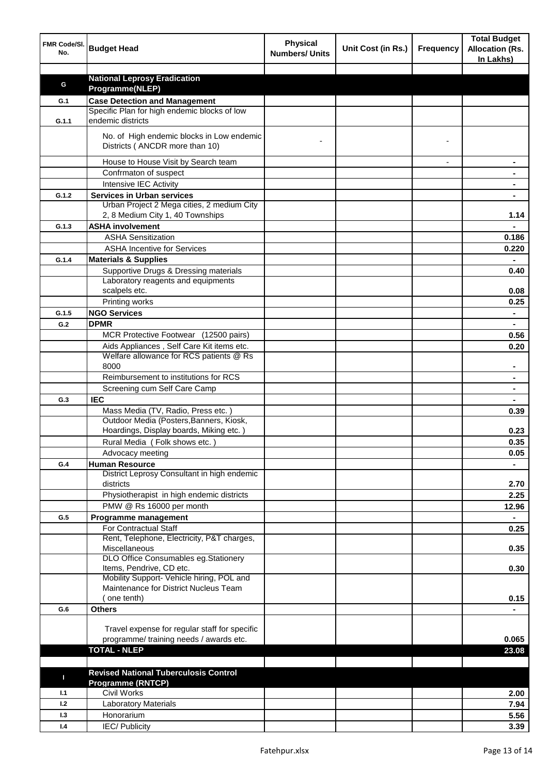| FMR Code/SI.<br>No. | <b>Budget Head</b>                                                                   | <b>Physical</b><br><b>Numbers/ Units</b> | Unit Cost (in Rs.) | <b>Frequency</b> | <b>Total Budget</b><br><b>Allocation (Rs.</b><br>In Lakhs) |
|---------------------|--------------------------------------------------------------------------------------|------------------------------------------|--------------------|------------------|------------------------------------------------------------|
|                     |                                                                                      |                                          |                    |                  |                                                            |
| G                   | <b>National Leprosy Eradication</b>                                                  |                                          |                    |                  |                                                            |
|                     | Programme(NLEP)                                                                      |                                          |                    |                  |                                                            |
| G.1                 | <b>Case Detection and Management</b><br>Specific Plan for high endemic blocks of low |                                          |                    |                  |                                                            |
| G.1.1               | endemic districts                                                                    |                                          |                    |                  |                                                            |
|                     | No. of High endemic blocks in Low endemic<br>Districts (ANCDR more than 10)          |                                          |                    |                  |                                                            |
|                     | House to House Visit by Search team                                                  |                                          |                    |                  |                                                            |
|                     | Confrmaton of suspect                                                                |                                          |                    |                  |                                                            |
|                     | Intensive IEC Activity                                                               |                                          |                    |                  |                                                            |
| G.1.2               | <b>Services in Urban services</b>                                                    |                                          |                    |                  |                                                            |
|                     | Urban Project 2 Mega cities, 2 medium City                                           |                                          |                    |                  |                                                            |
|                     | 2, 8 Medium City 1, 40 Townships                                                     |                                          |                    |                  | 1.14                                                       |
| G.1.3               | <b>ASHA involvement</b>                                                              |                                          |                    |                  |                                                            |
|                     | <b>ASHA Sensitization</b>                                                            |                                          |                    |                  | 0.186                                                      |
|                     | <b>ASHA Incentive for Services</b>                                                   |                                          |                    |                  | 0.220                                                      |
| G.1.4               | <b>Materials &amp; Supplies</b>                                                      |                                          |                    |                  |                                                            |
|                     | Supportive Drugs & Dressing materials                                                |                                          |                    |                  | 0.40                                                       |
|                     | Laboratory reagents and equipments                                                   |                                          |                    |                  |                                                            |
|                     | scalpels etc.                                                                        |                                          |                    |                  | 0.08                                                       |
|                     | Printing works                                                                       |                                          |                    |                  | 0.25                                                       |
| G.1.5               | <b>NGO Services</b>                                                                  |                                          |                    |                  | $\blacksquare$                                             |
| G.2                 | <b>DPMR</b>                                                                          |                                          |                    |                  | $\blacksquare$                                             |
|                     | MCR Protective Footwear (12500 pairs)                                                |                                          |                    |                  | 0.56                                                       |
|                     | Aids Appliances, Self Care Kit items etc.                                            |                                          |                    |                  | 0.20                                                       |
|                     | Welfare allowance for RCS patients @ Rs                                              |                                          |                    |                  |                                                            |
|                     | 8000<br>Reimbursement to institutions for RCS                                        |                                          |                    |                  |                                                            |
|                     | Screening cum Self Care Camp                                                         |                                          |                    |                  |                                                            |
| G.3                 | <b>IEC</b>                                                                           |                                          |                    |                  |                                                            |
|                     | Mass Media (TV, Radio, Press etc.)                                                   |                                          |                    |                  | 0.39                                                       |
|                     | Outdoor Media (Posters, Banners, Kiosk,                                              |                                          |                    |                  |                                                            |
|                     | Hoardings, Display boards, Miking etc.)                                              |                                          |                    |                  | 0.23                                                       |
|                     | Rural Media (Folk shows etc.)                                                        |                                          |                    |                  | 0.35                                                       |
|                     | Advocacy meeting                                                                     |                                          |                    |                  | 0.05                                                       |
| G.4                 | <b>Human Resource</b>                                                                |                                          |                    |                  |                                                            |
|                     | District Leprosy Consultant in high endemic<br>districts                             |                                          |                    |                  | 2.70                                                       |
|                     | Physiotherapist in high endemic districts                                            |                                          |                    |                  | 2.25                                                       |
|                     | PMW @ Rs 16000 per month                                                             |                                          |                    |                  | 12.96                                                      |
| G.5                 | Programme management                                                                 |                                          |                    |                  | $\blacksquare$                                             |
|                     | For Contractual Staff                                                                |                                          |                    |                  | 0.25                                                       |
|                     | Rent, Telephone, Electricity, P&T charges,                                           |                                          |                    |                  |                                                            |
|                     | Miscellaneous<br>DLO Office Consumables eg.Stationery                                |                                          |                    |                  | 0.35                                                       |
|                     | Items, Pendrive, CD etc.                                                             |                                          |                    |                  | 0.30                                                       |
|                     | Mobility Support- Vehicle hiring, POL and                                            |                                          |                    |                  |                                                            |
|                     | Maintenance for District Nucleus Team                                                |                                          |                    |                  |                                                            |
|                     | one tenth)                                                                           |                                          |                    |                  | 0.15                                                       |
| G.6                 | <b>Others</b>                                                                        |                                          |                    |                  |                                                            |
|                     |                                                                                      |                                          |                    |                  |                                                            |
|                     | Travel expense for regular staff for specific                                        |                                          |                    |                  |                                                            |
|                     | programme/ training needs / awards etc.                                              |                                          |                    |                  | 0.065                                                      |
|                     | <b>TOTAL - NLEP</b>                                                                  |                                          |                    |                  | 23.08                                                      |
|                     |                                                                                      |                                          |                    |                  |                                                            |
| п                   | <b>Revised National Tuberculosis Control</b>                                         |                                          |                    |                  |                                                            |
| 1.1                 | <b>Programme (RNTCP)</b><br><b>Civil Works</b>                                       |                                          |                    |                  | 2.00                                                       |
| 1.2                 | <b>Laboratory Materials</b>                                                          |                                          |                    |                  | 7.94                                                       |
| 1.3                 | Honorarium                                                                           |                                          |                    |                  | 5.56                                                       |
| 1.4                 | <b>IEC/Publicity</b>                                                                 |                                          |                    |                  | 3.39                                                       |
|                     |                                                                                      |                                          |                    |                  |                                                            |